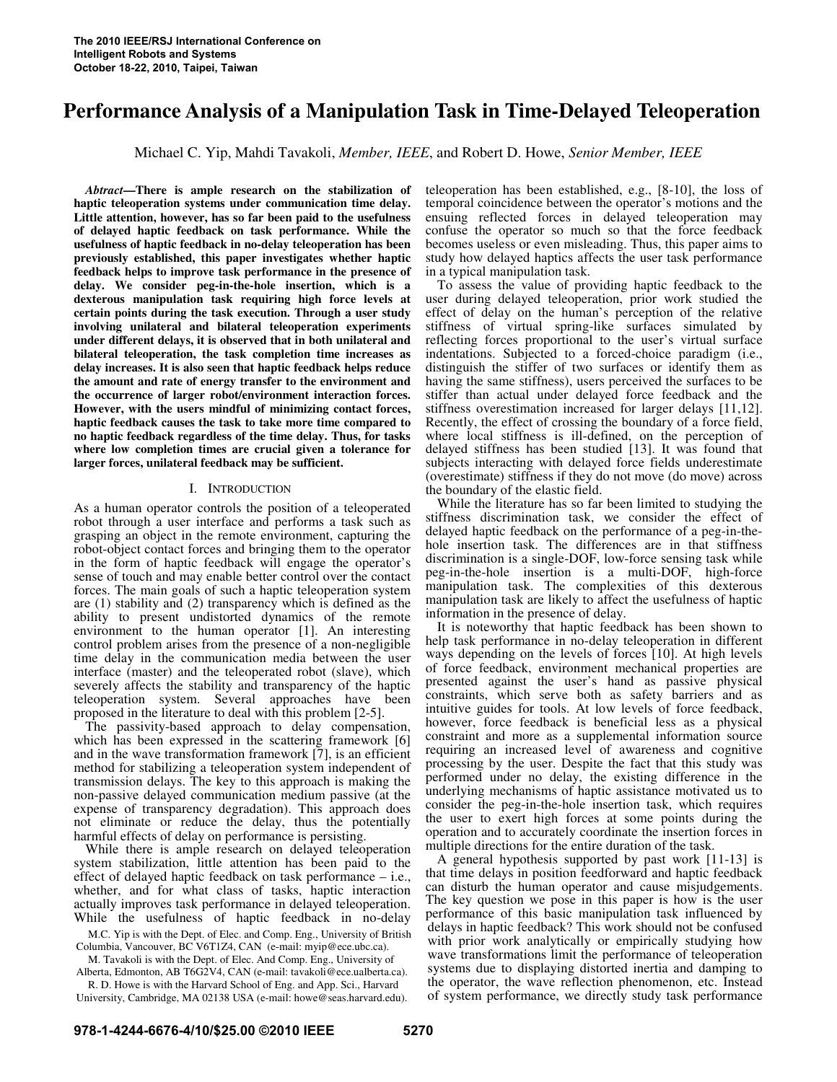# **Performance Analysis of a Manipulation Task in Time-Delayed Teleoperation**

Michael C. Yip, Mahdi Tavakoli, *Member, IEEE*, and Robert D. Howe, *Senior Member, IEEE*

*Abtract***—There is ample research on the stabilization of haptic teleoperation systems under communication time delay. Little attention, however, has so far been paid to the usefulness of delayed haptic feedback on task performance. While the usefulness of haptic feedback in no-delay teleoperation has been previously established, this paper investigates whether haptic feedback helps to improve task performance in the presence of delay. We consider peg-in-the-hole insertion, which is a dexterous manipulation task requiring high force levels at certain points during the task execution. Through a user study involving unilateral and bilateral teleoperation experiments under different delays, it is observed that in both unilateral and bilateral teleoperation, the task completion time increases as delay increases. It is also seen that haptic feedback helps reduce the amount and rate of energy transfer to the environment and the occurrence of larger robot/environment interaction forces. However, with the users mindful of minimizing contact forces, haptic feedback causes the task to take more time compared to no haptic feedback regardless of the time delay. Thus, for tasks where low completion times are crucial given a tolerance for larger forces, unilateral feedback may be sufficient.**

### I. INTRODUCTION

As a human operator controls the position of a teleoperated robot through a user interface and performs a task such as grasping an object in the remote environment, capturing the robot-object contact forces and bringing them to the operator in the form of haptic feedback will engage the operator's sense of touch and may enable better control over the contact forces. The main goals of such a haptic teleoperation system are (1) stability and (2) transparency which is defined as the ability to present undistorted dynamics of the remote environment to the human operator [1]. An interesting control problem arises from the presence of a non-negligible time delay in the communication media between the user interface (master) and the teleoperated robot (slave), which severely affects the stability and transparency of the haptic teleoperation system. Several approaches have been proposed in the literature to deal with this problem [2-5].

The passivity-based approach to delay compensation, which has been expressed in the scattering framework [6] and in the wave transformation framework [7], is an efficient method for stabilizing a teleoperation system independent of transmission delays. The key to this approach is making the non-passive delayed communication medium passive (at the expense of transparency degradation). This approach does not eliminate or reduce the delay, thus the potentially harmful effects of delay on performance is persisting.

While there is ample research on delayed teleoperation system stabilization, little attention has been paid to the effect of delayed haptic feedback on task performance – i.e., whether, and for what class of tasks, haptic interaction actually improves task performance in delayed teleoperation. While the usefulness of haptic feedback in no-delay

M.C. Yip is with the Dept. of Elec. and Comp. Eng., University of British Columbia, Vancouver, BC V6T1Z4, CAN (e-mail: myip@ece.ubc.ca).

M. Tavakoli is with the Dept. of Elec. And Comp. Eng., University of

Alberta, Edmonton, AB T6G2V4, CAN (e-mail: tavakoli@ece.ualberta.ca). R. D. Howe is with the Harvard School of Eng. and App. Sci., Harvard University, Cambridge, MA 02138 USA (e-mail: howe@seas.harvard.edu).

teleoperation has been established, e.g., [8-10], the loss of temporal coincidence between the operator's motions and the ensuing reflected forces in delayed teleoperation may confuse the operator so much so that the force feedback becomes useless or even misleading. Thus, this paper aims to study how delayed haptics affects the user task performance in a typical manipulation task.

To assess the value of providing haptic feedback to the user during delayed teleoperation, prior work studied the effect of delay on the human's perception of the relative stiffness of virtual spring-like surfaces simulated by reflecting forces proportional to the user's virtual surface indentations. Subjected to a forced-choice paradigm (i.e., distinguish the stiffer of two surfaces or identify them as having the same stiffness), users perceived the surfaces to be stiffer than actual under delayed force feedback and the stiffness overestimation increased for larger delays [11,12]. Recently, the effect of crossing the boundary of a force field, where local stiffness is ill-defined, on the perception of delayed stiffness has been studied [13]. It was found that subjects interacting with delayed force fields underestimate (overestimate) stiffness if they do not move (do move) across the boundary of the elastic field.

While the literature has so far been limited to studying the stiffness discrimination task, we consider the effect of delayed haptic feedback on the performance of a peg-in-thehole insertion task. The differences are in that stiffness discrimination is a single-DOF, low-force sensing task while peg-in-the-hole insertion is a multi-DOF, high-force manipulation task. The complexities of this dexterous manipulation task are likely to affect the usefulness of haptic information in the presence of delay.

It is noteworthy that haptic feedback has been shown to help task performance in no-delay teleoperation in different ways depending on the levels of forces [10]. At high levels of force feedback, environment mechanical properties are presented against the user's hand as passive physical constraints, which serve both as safety barriers and as intuitive guides for tools. At low levels of force feedback, however, force feedback is beneficial less as a physical constraint and more as a supplemental information source requiring an increased level of awareness and cognitive processing by the user. Despite the fact that this study was performed under no delay, the existing difference in the underlying mechanisms of haptic assistance motivated us to consider the peg-in-the-hole insertion task, which requires the user to exert high forces at some points during the operation and to accurately coordinate the insertion forces in multiple directions for the entire duration of the task.

A general hypothesis supported by past work [11-13] is that time delays in position feedforward and haptic feedback can disturb the human operator and cause misjudgements. The key question we pose in this paper is how is the user performance of this basic manipulation task influenced by delays in haptic feedback? This work should not be confused with prior work analytically or empirically studying how wave transformations limit the performance of teleoperation systems due to displaying distorted inertia and damping to the operator, the wave reflection phenomenon, etc. Instead of system performance, we directly study task performance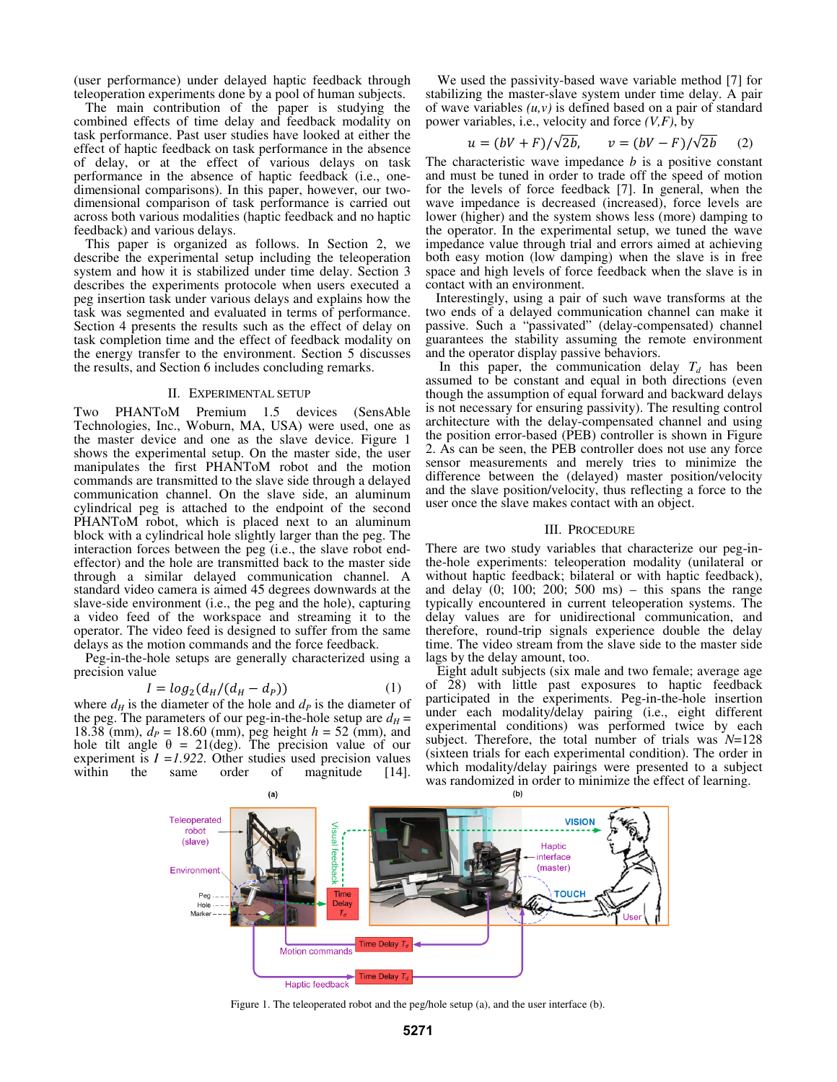(user performance) under delayed haptic feedback through teleoperation experiments done by a pool of human subjects.

The main contribution of the paper is studying the combined effects of time delay and feedback modality on task performance. Past user studies have looked at either the effect of haptic feedback on task performance in the absence of delay, or at the effect of various delays on task performance in the absence of haptic feedback (i.e., onedimensional comparisons). In this paper, however, our twodimensional comparison of task performance is carried out across both various modalities (haptic feedback and no haptic feedback) and various delays.

This paper is organized as follows. In Section 2, we describe the experimental setup including the teleoperation system and how it is stabilized under time delay. Section 3 describes the experiments protocole when users executed a peg insertion task under various delays and explains how the task was segmented and evaluated in terms of performance. Section 4 presents the results such as the effect of delay on task completion time and the effect of feedback modality on the energy transfer to the environment. Section 5 discusses the results, and Section 6 includes concluding remarks.

#### II. EXPERIMENTAL SETUP

Two PHANToM Premium 1.5 devices (SensAble Technologies, Inc., Woburn, MA, USA) were used, one as the master device and one as the slave device. Figure 1 shows the experimental setup. On the master side, the user manipulates the first PHANToM robot and the motion commands are transmitted to the slave side through a delayed communication channel. On the slave side, an aluminum cylindrical peg is attached to the endpoint of the second PHANToM robot, which is placed next to an aluminum block with a cylindrical hole slightly larger than the peg. The interaction forces between the peg (i.e., the slave robot endeffector) and the hole are transmitted back to the master side through a similar delayed communication channel. A standard video camera is aimed 45 degrees downwards at the slave-side environment (i.e., the peg and the hole), capturing a video feed of the workspace and streaming it to the operator. The video feed is designed to suffer from the same delays as the motion commands and the force feedback.

Peg-in-the-hole setups are generally characterized using a precision value

$$
I = \log_2(d_H/(d_H - d_P))
$$
 (1)

where  $d_H$  is the diameter of the hole and  $d_P$  is the diameter of the peg. The parameters of our peg-in-the-hole setup are  $d_H$  = 18.38 (mm),  $d_P = 18.60$  (mm), peg height  $h = 52$  (mm), and hole tilt angle  $\theta = 21$ (deg). The precision value of our experiment is  $I = 1.922$ . Other studies used precision values within the same order of magnitude [14]. the same order of magnitude [14].

We used the passivity-based wave variable method [7] for stabilizing the master-slave system under time delay. A pair of wave variables *(u,v)* is defined based on a pair of standard power variables, i.e., velocity and force *(V,F)*, by

$$
u = (bV + F)/\sqrt{2b}
$$
,  $v = (bV - F)/\sqrt{2b}$  (2)

The characteristic wave impedance *b* is a positive constant and must be tuned in order to trade off the speed of motion for the levels of force feedback [7]. In general, when the wave impedance is decreased (increased), force levels are lower (higher) and the system shows less (more) damping to the operator. In the experimental setup, we tuned the wave impedance value through trial and errors aimed at achieving both easy motion (low damping) when the slave is in free space and high levels of force feedback when the slave is in contact with an environment.

 Interestingly, using a pair of such wave transforms at the two ends of a delayed communication channel can make it passive. Such a "passivated" (delay-compensated) channel guarantees the stability assuming the remote environment and the operator display passive behaviors.

In this paper, the communication delay  $T_d$  has been assumed to be constant and equal in both directions (even though the assumption of equal forward and backward delays is not necessary for ensuring passivity). The resulting control architecture with the delay-compensated channel and using the position error-based (PEB) controller is shown in Figure 2. As can be seen, the PEB controller does not use any force sensor measurements and merely tries to minimize the difference between the (delayed) master position/velocity and the slave position/velocity, thus reflecting a force to the user once the slave makes contact with an object.

#### III. PROCEDURE

There are two study variables that characterize our peg-inthe-hole experiments: teleoperation modality (unilateral or without haptic feedback; bilateral or with haptic feedback), and delay  $(0; 100; 200; 500 \text{ ms})$  – this spans the range typically encountered in current teleoperation systems. The delay values are for unidirectional communication, and therefore, round-trip signals experience double the delay time. The video stream from the slave side to the master side lags by the delay amount, too.

Eight adult subjects (six male and two female; average age of 28) with little past exposures to haptic feedback participated in the experiments. Peg-in-the-hole insertion under each modality/delay pairing (i.e., eight different experimental conditions) was performed twice by each subject. Therefore, the total number of trials was *N*=128 (sixteen trials for each experimental condition). The order in which modality/delay pairings were presented to a subject was randomized in order to minimize the effect of learning.<br>  $\frac{1}{100}$ 



Figure 1. The teleoperated robot and the peg/hole setup (a), and the user interface (b).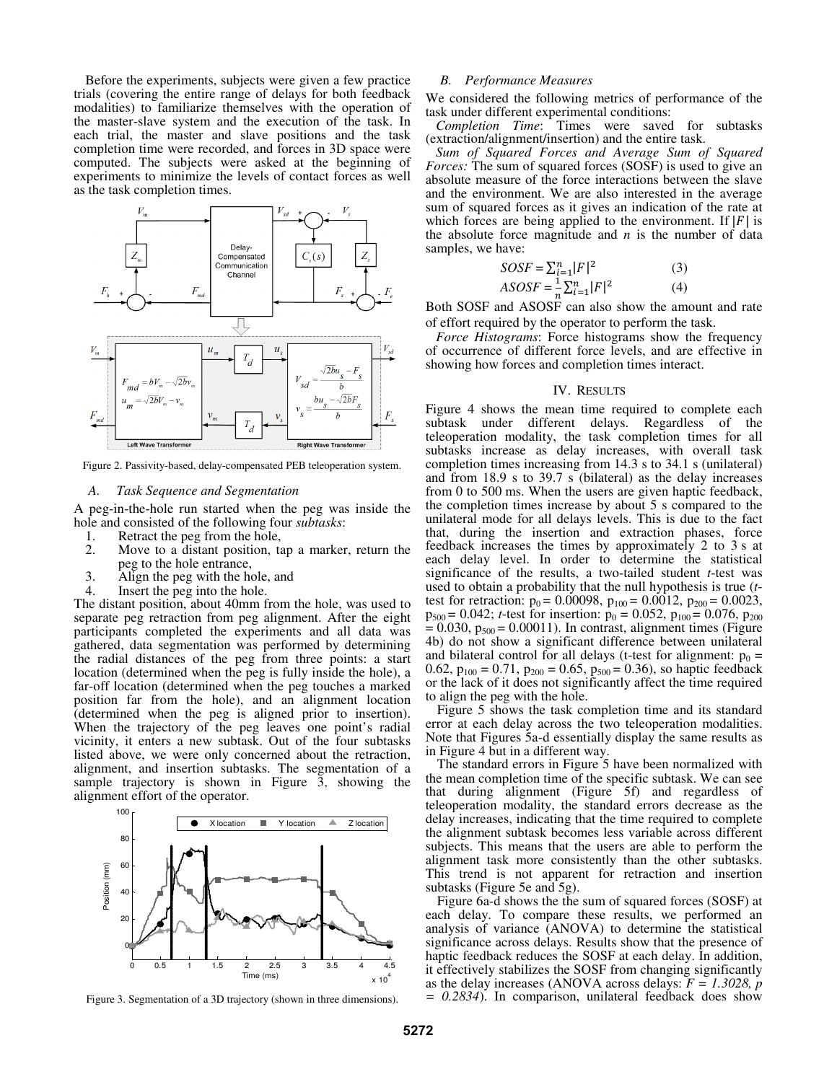Before the experiments, subjects were given a few practice trials (covering the entire range of delays for both feedback modalities) to familiarize themselves with the operation of the master-slave system and the execution of the task. In each trial, the master and slave positions and the task completion time were recorded, and forces in 3D space were computed. The subjects were asked at the beginning of experiments to minimize the levels of contact forces as well as the task completion times.



Figure 2. Passivity-based, delay-compensated PEB teleoperation system.

#### *A. Task Sequence and Segmentation*

A peg-in-the-hole run started when the peg was inside the hole and consisted of the following four *subtasks*:

- 
- 1. Retract the peg from the hole,<br>2. Move to a distant position, ta Move to a distant position, tap a marker, return the peg to the hole entrance,
- 3. Align the peg with the hole, and
- 4. Insert the peg into the hole.

The distant position, about 40mm from the hole, was used to separate peg retraction from peg alignment. After the eight participants completed the experiments and all data was gathered, data segmentation was performed by determining the radial distances of the peg from three points: a start location (determined when the peg is fully inside the hole), a far-off location (determined when the peg touches a marked position far from the hole), and an alignment location (determined when the peg is aligned prior to insertion). When the trajectory of the peg leaves one point's radial vicinity, it enters a new subtask. Out of the four subtasks listed above, we were only concerned about the retraction, alignment, and insertion subtasks. The segmentation of a sample trajectory is shown in Figure 3, showing the alignment effort of the operator.



Figure 3. Segmentation of a 3D trajectory (shown in three dimensions).

### *B. Performance Measures*

We considered the following metrics of performance of the task under different experimental conditions:

 *Completion Time*: Times were saved for subtasks (extraction/alignment/insertion) and the entire task.

 *Sum of Squared Forces and Average Sum of Squared Forces:* The sum of squared forces (SOSF) is used to give an absolute measure of the force interactions between the slave and the environment. We are also interested in the average sum of squared forces as it gives an indication of the rate at which forces are being applied to the environment. If  $|F|$  is the absolute force magnitude and *n* is the number of data samples, we have:

$$
SOSF = \sum_{i=1}^{n} |F|^2
$$
(3)  
 
$$
ASOSF = \frac{1}{n} \sum_{i=1}^{n} |F|^2
$$
(4)

Both SOSF and ASOSF can also show the amount and rate of effort required by the operator to perform the task.

 *Force Histograms*: Force histograms show the frequency of occurrence of different force levels, and are effective in showing how forces and completion times interact.

# IV. RESULTS

Figure 4 shows the mean time required to complete each subtask under different delays. Regardless of the teleoperation modality, the task completion times for all subtasks increase as delay increases, with overall task completion times increasing from 14.3 s to 34.1 s (unilateral) and from 18.9 s to 39.7 s (bilateral) as the delay increases from 0 to 500 ms. When the users are given haptic feedback, the completion times increase by about 5 s compared to the unilateral mode for all delays levels. This is due to the fact that, during the insertion and extraction phases, force feedback increases the times by approximately 2 to 3 s at each delay level. In order to determine the statistical significance of the results, a two-tailed student *t*-test was used to obtain a probability that the null hypothesis is true (*t*test for retraction:  $p_0 = 0.00098$ ,  $p_{100} = 0.0012$ ,  $p_{200} = 0.0023$ ,  $p_{500} = 0.042$ ; *t*-test for insertion:  $p_0 = 0.052$ ,  $p_{100} = 0.076$ ,  $p_{200}$  $= 0.030$ ,  $p_{500} = 0.00011$ ). In contrast, alignment times (Figure 4b) do not show a significant difference between unilateral and bilateral control for all delays (t-test for alignment:  $p_0 =$ 0.62,  $p_{100} = 0.71$ ,  $p_{200} = 0.65$ ,  $p_{500} = 0.36$ ), so haptic feedback or the lack of it does not significantly affect the time required to align the peg with the hole.

Figure 5 shows the task completion time and its standard error at each delay across the two teleoperation modalities. Note that Figures 5a-d essentially display the same results as in Figure 4 but in a different way.

The standard errors in Figure 5 have been normalized with the mean completion time of the specific subtask. We can see that during alignment (Figure 5f) and regardless of teleoperation modality, the standard errors decrease as the delay increases, indicating that the time required to complete the alignment subtask becomes less variable across different subjects. This means that the users are able to perform the alignment task more consistently than the other subtasks. This trend is not apparent for retraction and insertion subtasks (Figure 5e and 5g).

Figure 6a-d shows the the sum of squared forces (SOSF) at each delay. To compare these results, we performed an analysis of variance (ANOVA) to determine the statistical significance across delays. Results show that the presence of haptic feedback reduces the SOSF at each delay. In addition, it effectively stabilizes the SOSF from changing significantly as the delay increases (ANOVA across delays: *F = 1.3028, p = 0.2834*). In comparison, unilateral feedback does show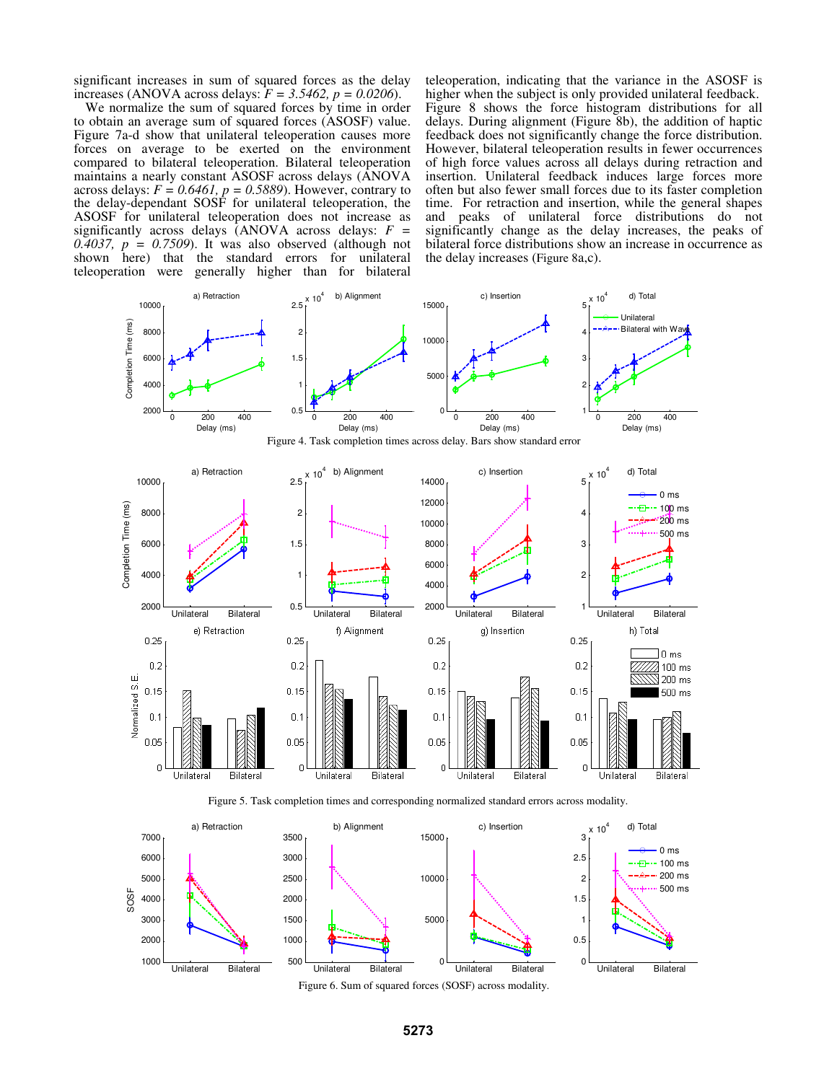significant increases in sum of squared forces as the delay increases (ANOVA across delays: *F = 3.5462, p = 0.0206*).

We normalize the sum of squared forces by time in order to obtain an average sum of squared forces (ASOSF) value. Figure 7a-d show that unilateral teleoperation causes more forces on average to be exerted on the environment compared to bilateral teleoperation. Bilateral teleoperation maintains a nearly constant ASOSF across delays (ANOVA across delays:  $F = 0.6461$ ,  $p = 0.5889$ ). However, contrary to the delay-dependant SOSF for unilateral teleoperation, the ASOSF for unilateral teleoperation does not increase as significantly across delays (ANOVA across delays: *F = 0.4037, p = 0.7509*). It was also observed (although not shown here) that the standard errors for unilateral teleoperation were generally higher than for bilateral

teleoperation, indicating that the variance in the ASOSF is higher when the subject is only provided unilateral feedback. Figure 8 shows the force histogram distributions for all delays. During alignment (Figure 8b), the addition of haptic feedback does not significantly change the force distribution. However, bilateral teleoperation results in fewer occurrences of high force values across all delays during retraction and insertion. Unilateral feedback induces large forces more often but also fewer small forces due to its faster completion time. For retraction and insertion, while the general shapes and peaks of unilateral force distributions do not significantly change as the delay increases, the peaks of bilateral force distributions show an increase in occurrence as the delay increases (Figure 8a,c).

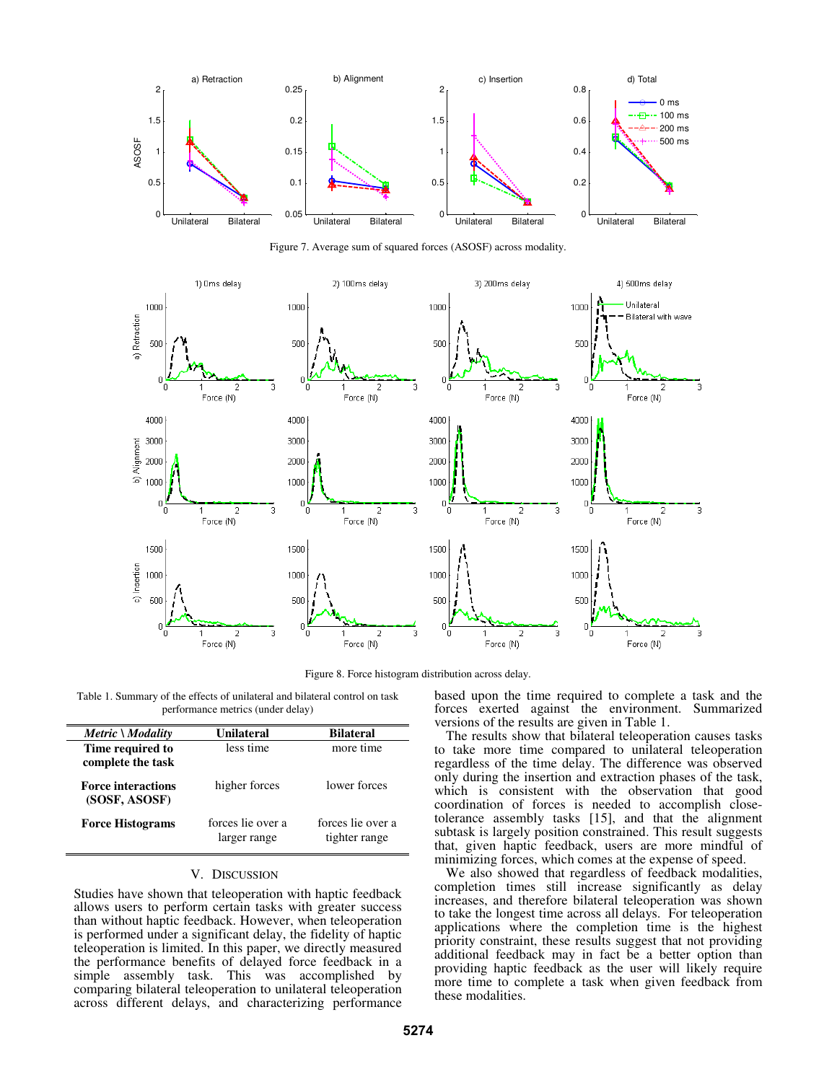

Figure 7. Average sum of squared forces (ASOSF) across modality.



Figure 8. Force histogram distribution across delay.

Table 1. Summary of the effects of unilateral and bilateral control on task performance metrics (under delay)

| Metric $\setminus$ Modality                | Unilateral                        | <b>Bilateral</b>                   |
|--------------------------------------------|-----------------------------------|------------------------------------|
| Time required to<br>complete the task      | less time                         | more time                          |
| <b>Force interactions</b><br>(SOSF, ASOSF) | higher forces                     | lower forces                       |
| <b>Force Histograms</b>                    | forces lie over a<br>larger range | forces lie over a<br>tighter range |

## V. DISCUSSION

Studies have shown that teleoperation with haptic feedback allows users to perform certain tasks with greater success than without haptic feedback. However, when teleoperation is performed under a significant delay, the fidelity of haptic teleoperation is limited. In this paper, we directly measured the performance benefits of delayed force feedback in a simple assembly task. This was accomplished by comparing bilateral teleoperation to unilateral teleoperation across different delays, and characterizing performance

based upon the time required to complete a task and the forces exerted against the environment. Summarized versions of the results are given in Table 1.

The results show that bilateral teleoperation causes tasks to take more time compared to unilateral teleoperation regardless of the time delay. The difference was observed only during the insertion and extraction phases of the task, which is consistent with the observation that good coordination of forces is needed to accomplish closetolerance assembly tasks [15], and that the alignment subtask is largely position constrained. This result suggests that, given haptic feedback, users are more mindful of minimizing forces, which comes at the expense of speed.

We also showed that regardless of feedback modalities, completion times still increase significantly as delay increases, and therefore bilateral teleoperation was shown to take the longest time across all delays. For teleoperation applications where the completion time is the highest priority constraint, these results suggest that not providing additional feedback may in fact be a better option than providing haptic feedback as the user will likely require more time to complete a task when given feedback from these modalities.